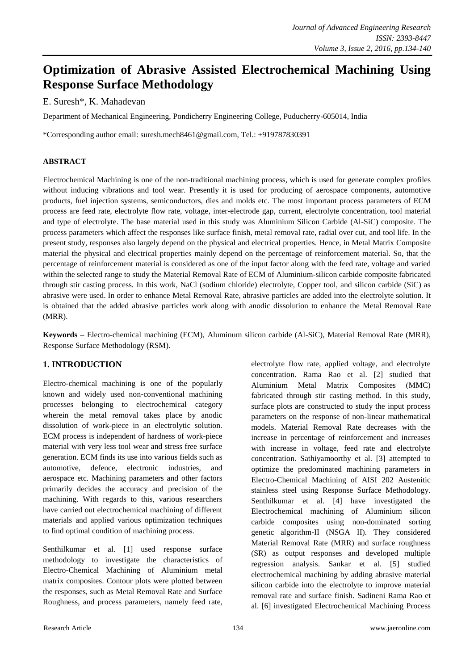# **Optimization of Abrasive Assisted Electrochemical Machining Using Response Surface Methodology**

## E. Suresh\*, K. Mahadevan

Department of Mechanical Engineering, Pondicherry Engineering College, Puducherry-605014, India

\*Corresponding author email: suresh.mech8461@gmail.com, Tel.: +919787830391

#### **ABSTRACT**

Electrochemical Machining is one of the non-traditional machining process, which is used for generate complex profiles without inducing vibrations and tool wear. Presently it is used for producing of aerospace components, automotive products, fuel injection systems, semiconductors, dies and molds etc. The most important process parameters of ECM process are feed rate, electrolyte flow rate, voltage, inter-electrode gap, current, electrolyte concentration, tool material and type of electrolyte. The base material used in this study was Aluminium Silicon Carbide (Al-SiC) composite. The process parameters which affect the responses like surface finish, metal removal rate, radial over cut, and tool life. In the present study, responses also largely depend on the physical and electrical properties. Hence, in Metal Matrix Composite material the physical and electrical properties mainly depend on the percentage of reinforcement material. So, that the percentage of reinforcement material is considered as one of the input factor along with the feed rate, voltage and varied within the selected range to study the Material Removal Rate of ECM of Aluminium-silicon carbide composite fabricated through stir casting process*.* In this work, NaCl (sodium chloride) electrolyte, Copper tool, and silicon carbide (SiC) as abrasive were used. In order to enhance Metal Removal Rate, abrasive particles are added into the electrolyte solution. It is obtained that the added abrasive particles work along with anodic dissolution to enhance the Metal Removal Rate (MRR).

**Keywords –** Electro-chemical machining (ECM), Aluminum silicon carbide (Al-SiC), Material Removal Rate (MRR), Response Surface Methodology (RSM).

## **1. INTRODUCTION**

Electro-chemical machining is one of the popularly known and widely used non-conventional machining processes belonging to electrochemical category wherein the metal removal takes place by anodic dissolution of work-piece in an electrolytic solution. ECM process is independent of hardness of work-piece material with very less tool wear and stress free surface generation. ECM finds its use into various fields such as automotive, defence, electronic industries, and aerospace etc. Machining parameters and other factors primarily decides the accuracy and precision of the machining. With regards to this, various researchers have carried out electrochemical machining of different materials and applied various optimization techniques to find optimal condition of machining process.

Senthilkumar et al. [1] used response surface methodology to investigate the characteristics of Electro-Chemical Machining of Aluminium metal matrix composites. Contour plots were plotted between the responses, such as Metal Removal Rate and Surface Roughness, and process parameters, namely feed rate, electrolyte flow rate, applied voltage, and electrolyte concentration. Rama Rao et al. [2] studied that Aluminium Metal Matrix Composites (MMC) fabricated through stir casting method. In this study, surface plots are constructed to study the input process parameters on the response of non-linear mathematical models. Material Removal Rate decreases with the increase in percentage of reinforcement and increases with increase in voltage, feed rate and electrolyte concentration. Sathiyamoorthy et al. [3] attempted to optimize the predominated machining parameters in Electro-Chemical Machining of AISI 202 Austenitic stainless steel using Response Surface Methodology. Senthilkumar et al. [4] have investigated the Electrochemical machining of Aluminium silicon carbide composites using non-dominated sorting genetic algorithm-II (NSGA II). They considered Material Removal Rate (MRR) and surface roughness (SR) as output responses and developed multiple regression analysis. Sankar et al. [5] studied electrochemical machining by adding abrasive material silicon carbide into the electrolyte to improve material removal rate and surface finish. Sadineni Rama Rao et al. [6] investigated Electrochemical Machining Process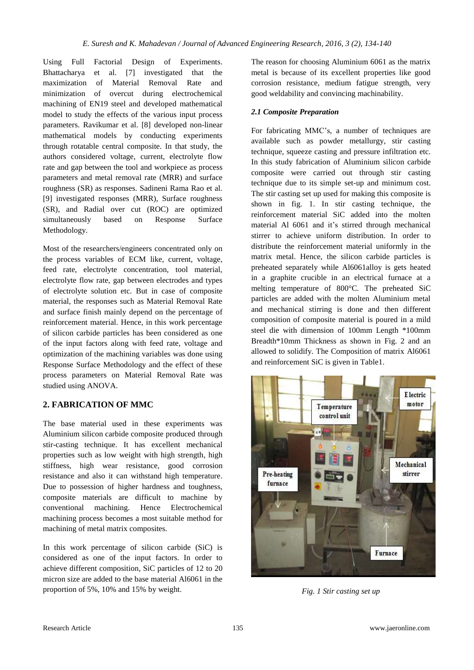Using Full Factorial Design of Experiments. Bhattacharya et al. [7] investigated that the maximization of Material Removal Rate and minimization of overcut during electrochemical machining of EN19 steel and developed mathematical model to study the effects of the various input process parameters. Ravikumar et al. [8] developed non-linear mathematical models by conducting experiments through rotatable central composite. In that study, the authors considered voltage, current, electrolyte flow rate and gap between the tool and workpiece as process parameters and metal removal rate (MRR) and surface roughness (SR) as responses. Sadineni Rama Rao et al. [9] investigated responses (MRR), Surface roughness (SR), and Radial over cut (ROC) are optimized simultaneously based on Response Surface Methodology.

Most of the researchers/engineers concentrated only on the process variables of ECM like, current, voltage, feed rate, electrolyte concentration, tool material, electrolyte flow rate, gap between electrodes and types of electrolyte solution etc. But in case of composite material, the responses such as Material Removal Rate and surface finish mainly depend on the percentage of reinforcement material. Hence, in this work percentage of silicon carbide particles has been considered as one of the input factors along with feed rate, voltage and optimization of the machining variables was done using Response Surface Methodology and the effect of these process parameters on Material Removal Rate was studied using ANOVA.

## **2. FABRICATION OF MMC**

The base material used in these experiments was Aluminium silicon carbide composite produced through stir-casting technique. It has excellent mechanical properties such as low weight with high strength, high stiffness, high wear resistance, good corrosion resistance and also it can withstand high temperature. Due to possession of higher hardness and toughness, composite materials are difficult to machine by conventional machining. Hence Electrochemical machining process becomes a most suitable method for machining of metal matrix composites.

In this work percentage of silicon carbide (SiC) is considered as one of the input factors. In order to achieve different composition, SiC particles of 12 to 20 micron size are added to the base material Al6061 in the proportion of 5%, 10% and 15% by weight.

The reason for choosing Aluminium 6061 as the matrix metal is because of its excellent properties like good corrosion resistance, medium fatigue strength, very good weldability and convincing machinability.

## *2.1 Composite Preparation*

For fabricating MMC's, a number of techniques are available such as powder metallurgy, stir casting technique, squeeze casting and pressure infiltration etc. In this study fabrication of Aluminium silicon carbide composite were carried out through stir casting technique due to its simple set-up and minimum cost. The stir casting set up used for making this composite is shown in fig. 1. In stir casting technique, the reinforcement material SiC added into the molten material Al 6061 and it's stirred through mechanical stirrer to achieve uniform distribution. In order to distribute the reinforcement material uniformly in the matrix metal. Hence, the silicon carbide particles is preheated separately while Al6061alloy is gets heated in a graphite crucible in an electrical furnace at a melting temperature of 800°C. The preheated SiC particles are added with the molten Aluminium metal and mechanical stirring is done and then different composition of composite material is poured in a mild steel die with dimension of 100mm Length \*100mm Breadth\*10mm Thickness as shown in Fig. 2 and an allowed to solidify. The Composition of matrix Al6061 and reinforcement SiC is given in Table1.



*Fig. 1 Stir casting set up*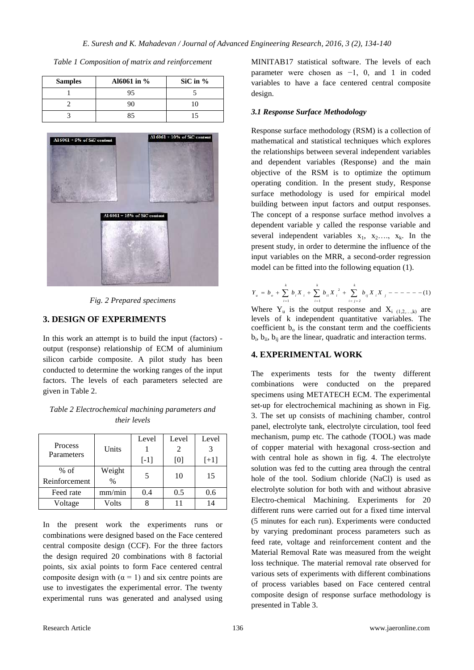| <b>Samples</b> | Al6061 in % | SiC in $%$ |
|----------------|-------------|------------|
|                | 95          |            |
|                |             |            |
|                | २५          |            |



*Fig. 2 Prepared specimens*

#### **3. DESIGN OF EXPERIMENTS**

In this work an attempt is to build the input (factors) output (response) relationship of ECM of aluminium silicon carbide composite. A pilot study has been conducted to determine the working ranges of the input factors. The levels of each parameters selected are given in Table 2.

| Table 2 Electrochemical machining parameters and |  |
|--------------------------------------------------|--|
| <i>their levels</i>                              |  |

|               |        | Level  | Level | Level  |
|---------------|--------|--------|-------|--------|
| Process       | Units  |        |       |        |
| Parameters    |        | $[-1]$ | [0]   | $[+1]$ |
| $%$ of        | Weight | 5      | 10    | 15     |
| Reinforcement | $\%$   |        |       |        |
| Feed rate     | mm/min | 0.4    | 0.5   | 0.6    |
| Voltage       | Volts  |        |       | 14     |

In the present work the experiments runs or combinations were designed based on the Face centered central composite design (CCF). For the three factors the design required 20 combinations with 8 factorial points, six axial points to form Face centered central composite design with  $(\alpha = 1)$  and six centre points are use to investigates the experimental error. The twenty experimental runs was generated and analysed using

MINITAB17 statistical software. The levels of each parameter were chosen as −1, 0, and 1 in coded variables to have a face centered central composite design.

#### *3.1 Response Surface Methodology*

Response surface methodology (RSM) is a collection of mathematical and statistical techniques which explores the relationships between several independent variables and dependent variables (Response) and the main objective of the RSM is to optimize the optimum operating condition. In the present study, Response surface methodology is used for empirical model building between input factors and output responses. The concept of a response surface method involves a dependent variable y called the response variable and several independent variables  $x_1$ ,  $x_2$ ….,  $x_k$ . In the present study, in order to determine the influence of the input variables on the MRR, a second-order regression model can be fitted into the following equation (1).

$$
Y_u = b_o + \sum_{i=1}^k b_i X_i + \sum_{i=1}^k b_{ii} X_i^2 + \sum_{i < j=2}^k b_{ij} X_i X_j - \dots - \dots - (1)
$$

Where  $Y_u$  is the output response and  $X_i$  (1,2,...,k) are levels of k independent quantitative variables. The coefficient  $b<sub>o</sub>$  is the constant term and the coefficients  $b_i$ ,  $b_{ii}$ ,  $b_{ij}$  are the linear, quadratic and interaction terms.

#### **4. EXPERIMENTAL WORK**

The experiments tests for the twenty different combinations were conducted on the prepared specimens using METATECH ECM. The experimental set-up for electrochemical machining as shown in Fig. 3. The set up consists of machining chamber, control panel, electrolyte tank, electrolyte circulation, tool feed mechanism, pump etc. The cathode (TOOL) was made of copper material with hexagonal cross-section and with central hole as shown in fig. 4. The electrolyte solution was fed to the cutting area through the central hole of the tool. Sodium chloride (NaCl) is used as electrolyte solution for both with and without abrasive Electro-chemical Machining. Experiments for 20 different runs were carried out for a fixed time interval (5 minutes for each run). Experiments were conducted by varying predominant process parameters such as feed rate, voltage and reinforcement content and the Material Removal Rate was measured from the weight loss technique. The material removal rate observed for various sets of experiments with different combinations of process variables based on Face centered central composite design of response surface methodology is presented in Table 3.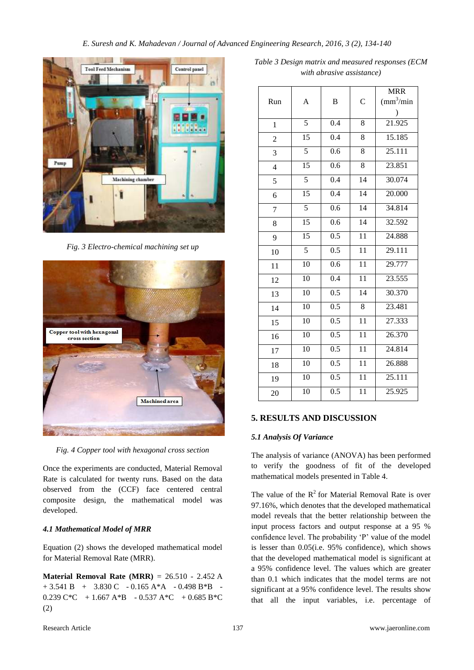

*Fig. 3 Electro-chemical machining set up*



*Fig. 4 Copper tool with hexagonal cross section*

Once the experiments are conducted, Material Removal Rate is calculated for twenty runs. Based on the data observed from the (CCF) face centered central composite design, the mathematical model was developed.

## *4.1 Mathematical Model of MRR*

Equation (2) shows the developed mathematical model for Material Removal Rate (MRR).

**Material Removal Rate (MRR)** = 26.510 - 2.452 A  $+ 3.541 B + 3.830 C - 0.165 A*A - 0.498 B*B$ 0.239  $C*C + 1.667 A*B - 0.537 A*C + 0.685 B*C$ (2)

*Table 3 Design matrix and measured responses (ECM with abrasive assistance)*

|                |                 |                  |                 | <b>MRR</b>              |
|----------------|-----------------|------------------|-----------------|-------------------------|
| Run            | A               | B                | $\overline{C}$  | $\text{m}^3/\text{min}$ |
|                |                 |                  |                 | $\mathcal{E}$           |
| $\mathbf{1}$   | 5               | 0.4              | 8               | 21.925                  |
| $\overline{c}$ | $\overline{15}$ | $\overline{0.4}$ | 8               | 15.185                  |
| 3              | 5               | 0.6              | $\overline{8}$  | 25.111                  |
| $\overline{4}$ | $\overline{15}$ | 0.6              | 8               | 23.851                  |
| 5              | $\overline{5}$  | $\overline{0.4}$ | 14              | 30.074                  |
| 6              | $\overline{15}$ | 0.4              | 14              | 20.000                  |
| 7              | 5               | 0.6              | 14              | 34.814                  |
| 8              | $\overline{15}$ | 0.6              | $\overline{14}$ | 32.592                  |
| 9              | $\overline{15}$ | 0.5              | $\overline{11}$ | 24.888                  |
| 10             | $\overline{5}$  | $\overline{0.5}$ | $\overline{11}$ | 29.111                  |
| 11             | 10              | $\overline{0.6}$ | $\overline{11}$ | 29.777                  |
| 12             | 10              | 0.4              | $\overline{11}$ | 23.555                  |
| 13             | 10              | $\overline{0.5}$ | 14              | 30.370                  |
| 14             | 10              | 0.5              | 8               | 23.481                  |
| 15             | 10              | 0.5              | $\overline{11}$ | 27.333                  |
| 16             | 10              | 0.5              | 11              | 26.370                  |
| 17             | 10              | 0.5              | 11              | 24.814                  |
| 18             | 10              | 0.5              | 11              | 26.888                  |
| 19             | 10              | 0.5              | 11              | 25.111                  |
| 20             | 10              | $\overline{0.5}$ | $\overline{11}$ | 25.925                  |

## **5. RESULTS AND DISCUSSION**

#### *5.1 Analysis Of Variance*

The analysis of variance (ANOVA) has been performed to verify the goodness of fit of the developed mathematical models presented in Table 4.

The value of the  $R^2$  for Material Removal Rate is over 97.16%, which denotes that the developed mathematical model reveals that the better relationship between the input process factors and output response at a 95 % confidence level. The probability 'P' value of the model is lesser than 0.05(i.e. 95% confidence), which shows that the developed mathematical model is significant at a 95% confidence level. The values which are greater than 0.1 which indicates that the model terms are not significant at a 95% confidence level. The results show that all the input variables, i.e. percentage of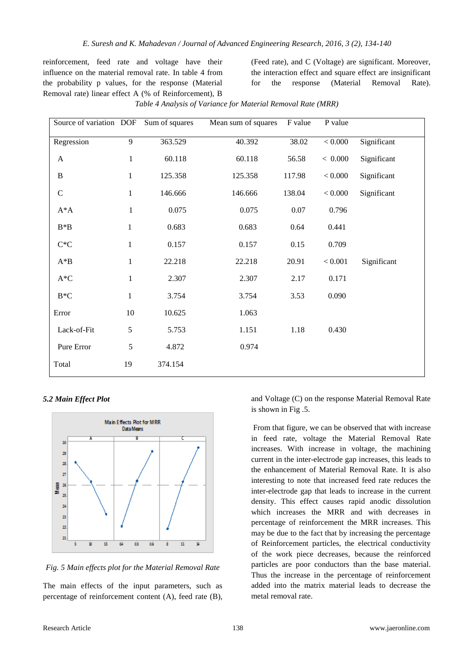reinforcement, feed rate and voltage have their influence on the material removal rate. In table 4 from the probability p values, for the response (Material Removal rate) linear effect A (% of Reinforcement), B

(Feed rate), and C (Voltage) are significant. Moreover, the interaction effect and square effect are insignificant for the response (Material Removal Rate).

| Source of variation DOF  |              | Sum of squares | Mean sum of squares | F value  | P value       |             |
|--------------------------|--------------|----------------|---------------------|----------|---------------|-------------|
| Regression               | 9            | 363.529        | 40.392              | 38.02    | < 0.000       | Significant |
| A                        | $\mathbf{1}$ | 60.118         | 60.118              | 56.58    | < 0.000       | Significant |
| $\, {\bf B}$             | $\mathbf{1}$ | 125.358        | 125.358             | 117.98   | < 0.000       | Significant |
| $\mathbf C$              | $\mathbf{1}$ | 146.666        | 146.666             | 138.04   | 0.000 < 0.000 | Significant |
| $A^*A$                   | $\mathbf{1}$ | 0.075          | 0.075               | $0.07\,$ | 0.796         |             |
| $B*B$                    | $\mathbf{1}$ | 0.683          | 0.683               | 0.64     | 0.441         |             |
| $\mathrm{C}^*\mathrm{C}$ | $\mathbf{1}$ | 0.157          | 0.157               | 0.15     | 0.709         |             |
| $A^*B$                   | $\mathbf{1}$ | 22.218         | 22.218              | 20.91    | < 0.001       | Significant |
| $\mathrm{A}^*\mathrm{C}$ | $\mathbf{1}$ | 2.307          | 2.307               | 2.17     | 0.171         |             |
| $B*C$                    | $\mathbf{1}$ | 3.754          | 3.754               | 3.53     | 0.090         |             |
| Error                    | $10\,$       | 10.625         | 1.063               |          |               |             |
| Lack-of-Fit              | 5            | 5.753          | 1.151               | 1.18     | 0.430         |             |
| Pure Error               | 5            | 4.872          | 0.974               |          |               |             |
| Total                    | 19           | 374.154        |                     |          |               |             |

*Table 4 Analysis of Variance for Material Removal Rate (MRR)*

#### *5.2 Main Effect Plot*



*Fig. 5 Main effects plot for the Material Removal Rate*

The main effects of the input parameters, such as percentage of reinforcement content (A), feed rate (B),

and Voltage (C) on the response Material Removal Rate is shown in Fig .5.

From that figure, we can be observed that with increase in feed rate, voltage the Material Removal Rate increases. With increase in voltage, the machining current in the inter-electrode gap increases, this leads to the enhancement of Material Removal Rate. It is also interesting to note that increased feed rate reduces the inter-electrode gap that leads to increase in the current density. This effect causes rapid anodic dissolution which increases the MRR and with decreases in percentage of reinforcement the MRR increases. This may be due to the fact that by increasing the percentage of Reinforcement particles, the electrical conductivity of the work piece decreases, because the reinforced particles are poor conductors than the base material. Thus the increase in the percentage of reinforcement added into the matrix material leads to decrease the metal removal rate.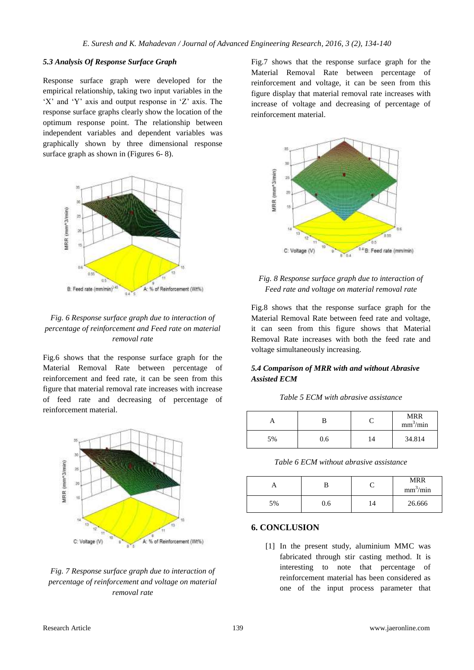#### *5.3 Analysis Of Response Surface Graph*

Response surface graph were developed for the empirical relationship, taking two input variables in the 'X' and 'Y' axis and output response in 'Z' axis. The response surface graphs clearly show the location of the optimum response point. The relationship between independent variables and dependent variables was graphically shown by three dimensional response surface graph as shown in (Figures 6- 8).



## *Fig. 6 Response surface graph due to interaction of percentage of reinforcement and Feed rate on material removal rate*

Fig.6 shows that the response surface graph for the Material Removal Rate between percentage of reinforcement and feed rate, it can be seen from this figure that material removal rate increases with increase of feed rate and decreasing of percentage of reinforcement material.



#### *Fig. 7 Response surface graph due to interaction of percentage of reinforcement and voltage on material removal rate*

Fig.7 shows that the response surface graph for the Material Removal Rate between percentage of reinforcement and voltage, it can be seen from this figure display that material removal rate increases with increase of voltage and decreasing of percentage of reinforcement material.



*Fig. 8 Response surface graph due to interaction of Feed rate and voltage on material removal rate*

Fig.8 shows that the response surface graph for the Material Removal Rate between feed rate and voltage, it can seen from this figure shows that Material Removal Rate increases with both the feed rate and voltage simultaneously increasing.

#### *5.4 Comparison of MRR with and without Abrasive Assisted ECM*

*Table 5 ECM with abrasive assistance*

|    |     |    | MRR<br>mm <sup>3</sup> /min |
|----|-----|----|-----------------------------|
| 5% | 0.6 | 14 | 34.814                      |

*Table 6 ECM without abrasive assistance*

|    |     |                | <b>MRR</b><br>mm <sup>3</sup> /min |
|----|-----|----------------|------------------------------------|
| 5% | 0.6 | $\overline{A}$ | 26.666                             |

#### **6. CONCLUSION**

[1] In the present study, aluminium MMC was fabricated through stir casting method. It is interesting to note that percentage of reinforcement material has been considered as one of the input process parameter that